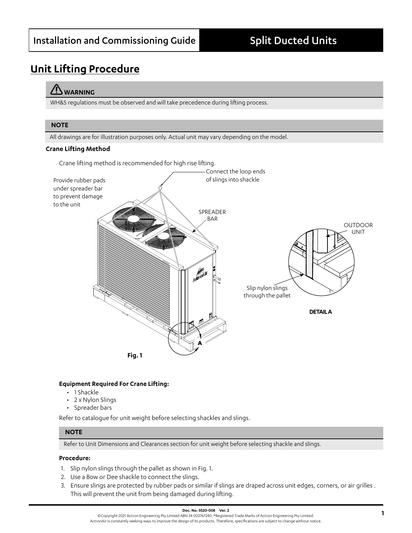# **Unit Lifting Procedure**

# **WARNING**

WH&S regulations must be observed and will take precedence during lifting process.

### **NOTE**

All drawings are for illustration purposes only. Actual unit may vary depending on the model.

#### **Crane Lifting Method**

Crane lifting method is recommended for high rise lifting.



#### **Equipment Required For Crane Lifting:**

- 1 Shackle
- 2 x Nylon Slings
- Spreader bars

Refer to catalogue for unit weight before selecting shackles and slings.

### **NOTE**

Refer to Unit Dimensions and Clearances section for unit weight before selecting shackle and slings.

#### **Procedure:**

- 1. Slip nylon slings through the pallet as shown in Fig. 1.
- 2. Use a Bow or Dee shackle to connect the slings.
- 3. Ensure slings are protected by rubber pads or similar if slings are draped across unit edges, corners, or air grilles . This will prevent the unit from being damaged during lifting.